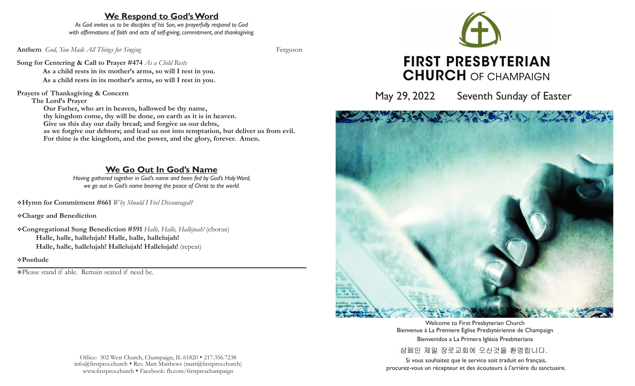# **We Respond to God's Word**

*As God invites us to be disciples of his Son, we prayerfully respond to God with affirmations of faith and acts of self-giving, commitment, and thanksgiving.*

**Anthem** *God, You Made All Things for Singing* Ferguson

**Song for Centering & Call to Prayer #474** *As a Child Rests*

**As a child rests in its mother's arms, so will I rest in you. As a child rests in its mother's arms, so will I rest in you.**

**Prayers of Thanksgiving & Concern**

**The Lord's Prayer**

 **Our Father, who art in heaven, hallowed be thy name, thy kingdom come, thy will be done, on earth as it is in heaven. Give us this day our daily bread; and forgive us our debts, as we forgive our debtors; and lead us not into temptation, but deliver us from evil. For thine is the kingdom, and the power, and the glory, forever. Amen.**

# **We Go Out In God's Name**

*Having gathered together in God's name and been fed by God's Holy Word, we go out in God's name bearing the peace of Christ to the world.*

v**Hymn for Commitment #661** *Why Should I Feel Discouraged?*

v**Charge and Benediction**

v**Congregational Sung Benediction #591** *Halle, Halle, Hallejuah!* (chorus) **Halle, halle, hallelujah! Halle, halle, hallelujah! Halle, halle, hallelujah! Hallelujah! Hallelujah!** (repeat)

v**Postlude** 

vPlease stand if able. Remain seated if need be.



May 29, 2022 Seventh Sunday of Easter



Welcome to First Presbyterian Church Bienvenue à La Premiere Eglise Presbytérienne de Champaign Bienvenidos a La Primera Iglésia Presbiteriana

샴페인 제일 장로교회에 오신것을 환영합니다.

Si vous souhaitez que le service soit traduit en français, procurez-vous un récepteur et des écouteurs à l'arrière du sanctuaire.

Office: 302 West Church, Champaign, IL 61820 • 217.356.7238  $info@firstpres.church$  Rev. Matt Matthews (matt@firstpres.church) www.firstpres.church • Facebook: fb.com/firstpreschampaign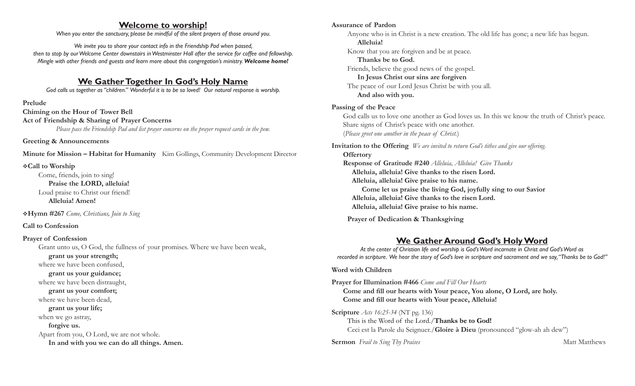## **Welcome to worship!**

*When you enter the sanctuary, please be mindful of the silent prayers of those around you.*

*We invite you to share your contact info in the Friendship Pad when passed, then to stop by our Welcome Center downstairs in Westminster Hall after the service for coffee and fellowship. Mingle with other friends and guests and learn more about this congregation's ministry. Welcome home!* 

## **We Gather Together In God's Holy Name**

*God calls us together as "children." Wonderful it is to be so loved! Our natural response is worship.*

#### **Prelude**

**Chiming on the Hour of Tower Bell Act of Friendship & Sharing of Prayer Concerns** *Please pass the Friendship Pad and list prayer concerns on the prayer request cards in the pew.*

**Greeting & Announcements**

**Minute for Mission – Habitat for Humanity** Kim Gollings, Community Development Director

### v**Call to Worship**

Come, friends, join to sing!  **Praise the LORD, alleluia!** Loud praise to Christ our friend!  **Alleluia! Amen!**

v**Hymn #267** *Come, Christians, Join to Sing*

### **Call to Confession**

#### **Prayer of Confession**

Grant unto us, O God, the fullness of your promises. Where we have been weak,

 **grant us your strength;**

where we have been confused,

#### **grant us your guidance;**

where we have been distraught,

#### **grant us your comfort;**

where we have been dead,

#### **grant us your life;**

when we go astray,

 **forgive us.** 

Apart from you, O Lord, we are not whole.  **In and with you we can do all things. Amen.**

**Sermon** *Frail to Sing Thy Praises* Matt Matthews

#### **Assurance of Pardon**

Anyone who is in Christ is a new creation. The old life has gone; a new life has begun.  **Alleluia!** Know that you are forgiven and be at peace.  **Thanks be to God.**

Friends, believe the good news of the gospel.  **In Jesus Christ our sins are forgiven**

The peace of our Lord Jesus Christ be with you all.  **And also with you.**

### **Passing of the Peace**

God calls us to love one another as God loves us. In this we know the truth of Christ's peace. Share signs of Christ's peace with one another. (*Please greet one another in the peace of Christ.*)

**Invitation to the Offering** *We are invited to return God's tithes and give our offering.* **Offertory Response of Gratitude #240** *Alleluia, Alleluia! Give Thanks* **Alleluia, alleluia! Give thanks to the risen Lord. Alleluia, alleluia! Give praise to his name. Come let us praise the living God, joyfully sing to our Savior Alleluia, alleluia! Give thanks to the risen Lord. Alleluia, alleluia! Give praise to his name.** 

 **Prayer of Dedication & Thanksgiving**

# **We Gather Around God's Holy Word**

*At the center of Christian life and worship is God's Word incarnate in Christ and God's Word as recorded in scripture. We hear the story of God's love in scripture and sacrament and we say, "Thanks be to God!"*

### **Word with Children**

**Prayer for Illumination #466** *Come and Fill Our Hearts* **Come and fill our hearts with Your peace, You alone, O Lord, are holy. Come and fill our hearts with Your peace, Alleluia!**

**Scripture** *Acts 16:25-34* (NT pg. 136) This is the Word of the Lord./**Thanks be to God!** Ceci est la Parole du Seignuer./**Gloire à Dieu** (pronounced "glow-ah ah dew")